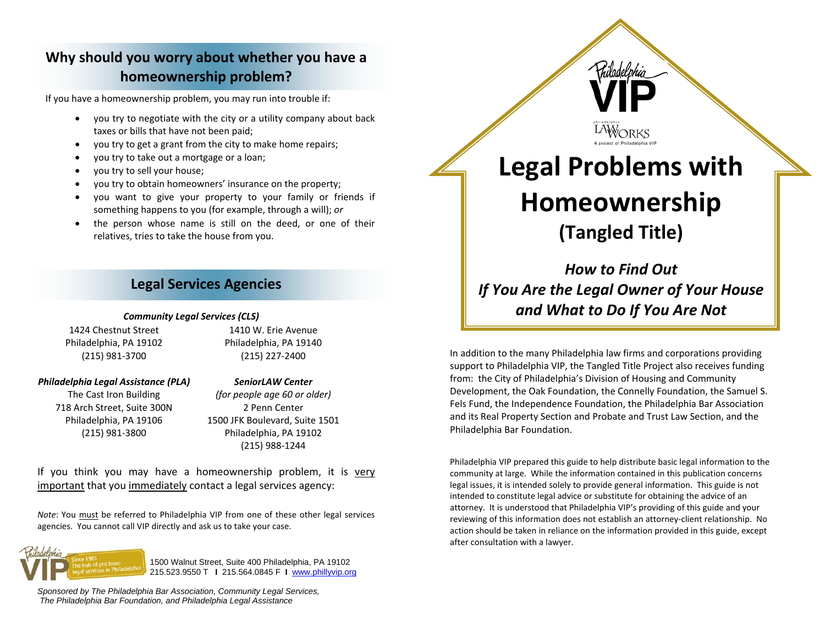# **Why should you worry about whether you have <sup>a</sup> homeownership problem?**

If you have <sup>a</sup> homeownership problem, you may run into trouble if:

- you try to negotiate with the city or <sup>a</sup> utility company about back taxes or bills that have not been paid;
- 0 you try to get <sup>a</sup> grant from the city to make home repairs;
- 0 you try to take out <sup>a</sup> mortgage or <sup>a</sup> loan;
- 0 you try to sell your house;
- c you try to obtain homeowners' insurance on the property;
- c you want to give your property to your family or friends if something happens to you (for example, through <sup>a</sup> will); *or*
- 0 the person whose name is still on the deed, or one of their relatives, tries to take the house from you.

## **Legal Services Agencies**

#### *Community Legal Services (CLS)*

1424 Chestnut Street Philadelphia, PA 19102 (215) 981‐3700

1410 W. Erie Avenue Philadelphia, PA 19140 (215) 227‐2400

### *Philadelphia Legal Assistance (PLA)*

The Cast Iron Building 718 Arch Street, Suite 300N Philadelphia, PA 19106 (215) 981‐3800

*SeniorLAW Center (for people age 60 or older)* 2 Penn Center 1500 JFK Boulevard, Suite 1501 Philadelphia, PA 19102 (215) 988‐1244

If you think you may have a homeownership problem, it is <u>very</u> important that you immediately contact <sup>a</sup> legal services agency:

*Note*: You must be referred to Philadelphia VIP from one of these other legal services agencies. You cannot call VIP directly and ask us to take your case.



*Sponsored by The Philadelphia Bar Association, Community Legal Services, The Philadelphia Bar Foundation, and Philadelphia Legal Assistance* 

LAWORKS **Legal Problems with**

hiladel.bh

# **Homeownership (Tangled Title)**

*How to Find Out If You Are the Legal Owner of Your House and What to Do If You Are Not*

In addition to the many Philadelphia law firms and corporations providing support to Philadelphia VIP, the Tangled Title Project also receives funding from: the City of Philadelphia's Division of Housing and Community Development, the Oak Foundation, the Connelly Foundation, the Samuel S. Fels Fund, the Independence Foundation, the Philadelphia Bar Association and its Real Property Section and Probate and Trust Law Section, and the Philadelphia Bar Foundation.

Philadelphia VIP prepared this guide to help distribute basic legal information to the community at large. While the information contained in this publication concerns legal issues, it is intended solely to provide general information. This guide is not intended to constitute legal advice or substitute for obtaining the advice of an attorney. It is understood that Philadelphia VIP's providing of this guide and your reviewing of this information does not establish an attorney‐client relationship. No action should be taken in reliance on the information provided in this guide, except after consultation with <sup>a</sup> lawyer.